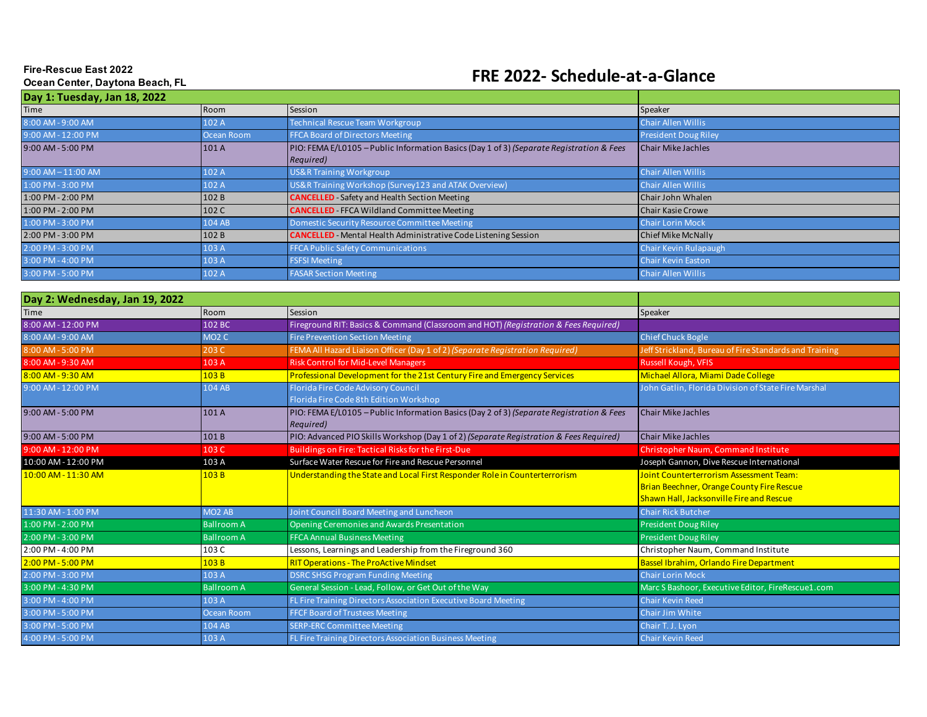## **Fire-Rescue East 2022 Ocean Center, Daytona Beach, FL**

## **FRE 2022- Schedule-at-a-Glance**

| Day 1: Tuesday, Jan 18, 2022 |            |                                                                                                       |                             |  |  |  |
|------------------------------|------------|-------------------------------------------------------------------------------------------------------|-----------------------------|--|--|--|
| <b>Time</b>                  | Room       | Session                                                                                               | Speaker                     |  |  |  |
| 8:00 AM - 9:00 AM            | 102 A      | Technical Rescue Team Workgroup                                                                       | <b>Chair Allen Willis</b>   |  |  |  |
| 9:00 AM - 12:00 PM           | Ocean Room | <b>FFCA Board of Directors Meeting</b>                                                                | <b>President Doug Riley</b> |  |  |  |
| 9:00 AM - 5:00 PM            | 101A       | PIO: FEMA E/L0105 - Public Information Basics (Day 1 of 3) (Separate Registration & Fees<br>Required) | <b>Chair Mike Jachles</b>   |  |  |  |
| $9:00$ AM $-11:00$ AM        | 102 A      | US&R Training Workgroup                                                                               | <b>Chair Allen Willis</b>   |  |  |  |
| 1:00 PM - 3:00 PM            | 102 A      | US&R Training Workshop (Survey123 and ATAK Overview)                                                  | <b>Chair Allen Willis</b>   |  |  |  |
| 1:00 PM - 2:00 PM            | 102 B      | <b>CANCELLED</b> Safety and Health Section Meeting                                                    | Chair John Whalen           |  |  |  |
| 1:00 PM - 2:00 PM            | 102 C      | <b>CANCELLED</b> FFCA Wildland Committee Meeting                                                      | <b>Chair Kasie Crowe</b>    |  |  |  |
| 1:00 PM - 3:00 PM            | 104 AB     | Domestic Security Resource Committee Meeting                                                          | <b>Chair Lorin Mock</b>     |  |  |  |
| 2:00 PM - 3:00 PM            | 102B       | <b>CANCELLED</b> - Mental Health Administrative Code Listening Session                                | <b>Chief Mike McNally</b>   |  |  |  |
| 2:00 PM - 3:00 PM            | 103 A      | <b>FFCA Public Safety Communications</b>                                                              | Chair Kevin Rulapaugh       |  |  |  |
| 3:00 PM - 4:00 PM            | 103 A      | <b>FSFSI Meeting</b>                                                                                  | <b>Chair Kevin Easton</b>   |  |  |  |
| 3:00 PM - 5:00 PM            | 102 A      | <b>FASAR Section Meeting</b>                                                                          | <b>Chair Allen Willis</b>   |  |  |  |

| Day 2: Wednesday, Jan 19, 2022 |                                |                                                                                                       |                                                                                                                                                |
|--------------------------------|--------------------------------|-------------------------------------------------------------------------------------------------------|------------------------------------------------------------------------------------------------------------------------------------------------|
| <b>Time</b>                    | Room                           | Session                                                                                               | Speaker                                                                                                                                        |
| 8:00 AM - 12:00 PM             | 102 BC                         | Fireground RIT: Basics & Command (Classroom and HOT) (Registration & Fees Required)                   |                                                                                                                                                |
| 8:00 AM - 9:00 AM              | MO <sub>2</sub> C              | <b>Fire Prevention Section Meeting</b>                                                                | <b>Chief Chuck Bogle</b>                                                                                                                       |
| 8:00 AM - 5:00 PM              | 203 C                          | FEMA All Hazard Liaison Officer (Day 1 of 2) (Separate Registration Required)                         | Jeff Strickland, Bureau of Fire Standards and Training                                                                                         |
| 8:00 AM - 9:30 AM              | 103 A                          | <b>Risk Control for Mid-Level Managers</b>                                                            | <b>Russell Kough, VFIS</b>                                                                                                                     |
| 8:00 AM - 9:30 AM              | 103B                           | Professional Development for the 21st Century Fire and Emergency Services                             | Michael Allora, Miami Dade College                                                                                                             |
| 9:00 AM - 12:00 PM             | 104 AB                         | <b>Florida Fire Code Advisory Council</b><br>Florida Fire Code 8th Edition Workshop                   | John Gatlin, Florida Division of State Fire Marshal                                                                                            |
| 9:00 AM - 5:00 PM              | 101 A                          | PIO: FEMA E/L0105 - Public Information Basics (Day 2 of 3) (Separate Registration & Fees<br>Required) | <b>Chair Mike Jachles</b>                                                                                                                      |
| 9:00 AM - 5:00 PM              | 101B                           | PIO: Advanced PIO Skills Workshop (Day 1 of 2) (Separate Registration & Fees Required)                | <b>Chair Mike Jachles</b>                                                                                                                      |
| 9:00 AM - 12:00 PM             | 103 C                          | Buildings on Fire: Tactical Risks for the First-Due                                                   | Christopher Naum, Command Institute                                                                                                            |
| 10:00 AM - 12:00 PM            | 103 A                          | Surface Water Rescue for Fire and Rescue Personnel                                                    | Joseph Gannon, Dive Rescue International                                                                                                       |
| 10:00 AM - 11:30 AM            | 103B                           | Understanding the State and Local First Responder Role in Counterterrorism                            | <b>Joint Counterterrorism Assessment Team:</b><br><b>Brian Beechner, Orange County Fire Rescue</b><br>Shawn Hall, Jacksonville Fire and Rescue |
| 11:30 AM - 1:00 PM             | MO <sub>2</sub> A <sub>B</sub> | Joint Council Board Meeting and Luncheon                                                              | <b>Chair Rick Butcher</b>                                                                                                                      |
| 1:00 PM - 2:00 PM              | <b>Ballroom A</b>              | Opening Ceremonies and Awards Presentation                                                            | <b>President Doug Riley</b>                                                                                                                    |
| 2:00 PM-3:00 PM                | <b>Ballroom A</b>              | <b>FFCA Annual Business Meeting</b>                                                                   | <b>President Doug Riley</b>                                                                                                                    |
| 2:00 PM - 4:00 PM              | 103 C                          | Lessons, Learnings and Leadership from the Fireground 360                                             | Christopher Naum, Command Institute                                                                                                            |
| 2:00 PM - 5:00 PM              | 103B                           | <b>RIT Operations - The ProActive Mindset</b>                                                         | Bassel Ibrahim, Orlando Fire Department                                                                                                        |
| 2:00 PM-3:00 PM                | 103 A                          | <b>DSRC SHSG Program Funding Meeting</b>                                                              | <b>Chair Lorin Mock</b>                                                                                                                        |
| 3:00 PM - 4:30 PM              | <b>Ballroom A</b>              | General Session - Lead, Follow, or Get Out of the Way                                                 | Marc S Bashoor, Executive Editor, FireRescue1.com                                                                                              |
| 3:00 PM - 4:00 PM              | 103 A                          | FL Fire Training Directors Association Executive Board Meeting                                        | <b>Chair Kevin Reed</b>                                                                                                                        |
| 3:00 PM - 5:00 PM              | Ocean Room                     | <b>FFCF Board of Trustees Meeting</b>                                                                 | <b>Chair Jim White</b>                                                                                                                         |
| 3:00 PM - 5:00 PM              | 104 AB                         | <b>SERP-ERC Committee Meeting</b>                                                                     | Chair T. J. Lyon                                                                                                                               |
| 4:00 PM - 5:00 PM              | 103 A                          | FL Fire Training Directors Association Business Meeting                                               | <b>Chair Kevin Reed</b>                                                                                                                        |